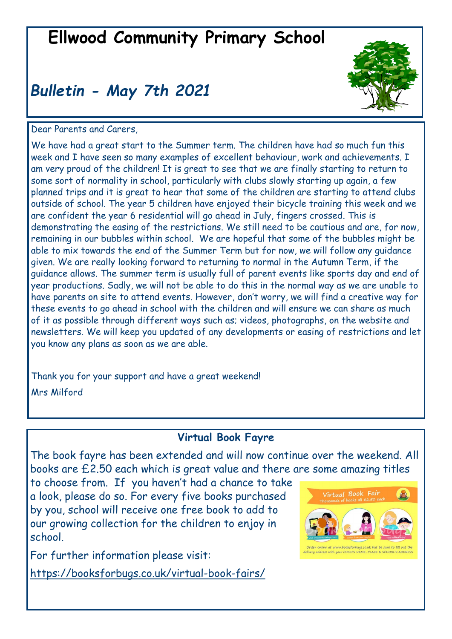# **Ellwood Community Primary School**

# *Bulletin - May 7th 2021*



Dear Parents and Carers,

We have had a great start to the Summer term. The children have had so much fun this week and I have seen so many examples of excellent behaviour, work and achievements. I am very proud of the children! It is great to see that we are finally starting to return to some sort of normality in school, particularly with clubs slowly starting up again, a few planned trips and it is great to hear that some of the children are starting to attend clubs outside of school. The year 5 children have enjoyed their bicycle training this week and we are confident the year 6 residential will go ahead in July, fingers crossed. This is demonstrating the easing of the restrictions. We still need to be cautious and are, for now, remaining in our bubbles within school. We are hopeful that some of the bubbles might be able to mix towards the end of the Summer Term but for now, we will follow any guidance given. We are really looking forward to returning to normal in the Autumn Term, if the guidance allows. The summer term is usually full of parent events like sports day and end of year productions. Sadly, we will not be able to do this in the normal way as we are unable to have parents on site to attend events. However, don't worry, we will find a creative way for these events to go ahead in school with the children and will ensure we can share as much of it as possible through different ways such as; videos, photographs, on the website and newsletters. We will keep you updated of any developments or easing of restrictions and let you know any plans as soon as we are able.

Thank you for your support and have a great weekend! Mrs Milford

### **Virtual Book Fayre**

The book fayre has been extended and will now continue over the weekend. All books are £2.50 each which is great value and there are some amazing titles

to choose from. If you haven't had a chance to take a look, please do so. For every five books purchased by you, school will receive one free book to add to our growing collection for the children to enjoy in school.

For further information please visit:

[https://booksforbugs.co.uk/virtual](https://booksforbugs.co.uk/virtual-book-fairs/)-book-fairs/

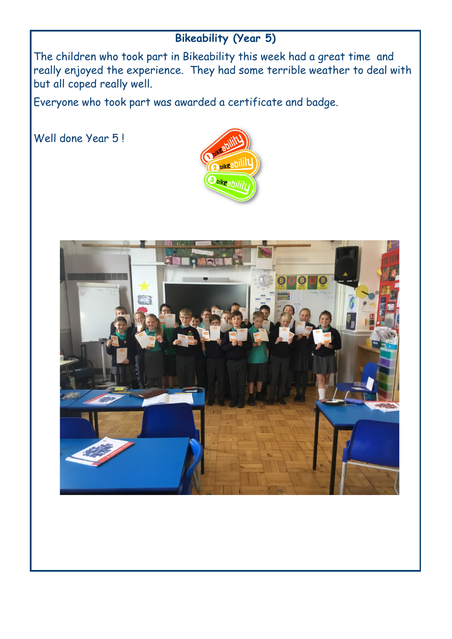## **Bikeability (Year 5)**

The children who took part in Bikeability this week had a great time and really enjoyed the experience. They had some terrible weather to deal with but all coped really well.

Everyone who took part was awarded a certificate and badge.

Well done Year 5 !



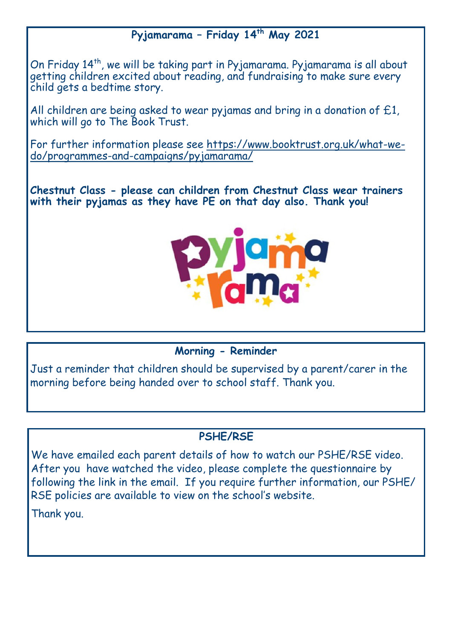### **Pyjamarama – Friday 14th May 2021**

On Friday 14<sup>th</sup>, we will be taking part in Pyjamarama. Pyjamarama is all about getting children excited about reading, and fundraising to make sure every child gets a bedtime story.

All children are being asked to wear pyjamas and bring in a donation of £1, which will go to The Book Trust.

For further information please see [https://www.booktrust.org.uk/what](https://www.booktrust.org.uk/what-we-do/programmes-and-campaigns/pyjamarama/)-wedo/programmes-and-[campaigns/pyjamarama/](https://www.booktrust.org.uk/what-we-do/programmes-and-campaigns/pyjamarama/)

**Chestnut Class - please can children from Chestnut Class wear trainers with their pyjamas as they have PE on that day also. Thank you!**



#### **Morning - Reminder**

Just a reminder that children should be supervised by a parent/carer in the morning before being handed over to school staff. Thank you.

### **PSHE/RSE**

We have emailed each parent details of how to watch our PSHE/RSE video. After you have watched the video, please complete the questionnaire by following the link in the email. If you require further information, our PSHE/ RSE policies are available to view on the school's website.

Thank you.